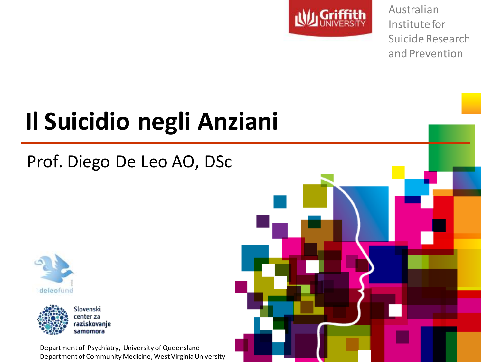

Australian Institute for Suicide Research and Prevention

### **Il Suicidio negli Anziani**

#### Prof. Diego De Leo AO, DSc





Department of Psychiatry, University of Queensland Department of Community Medicine, West Virginia University

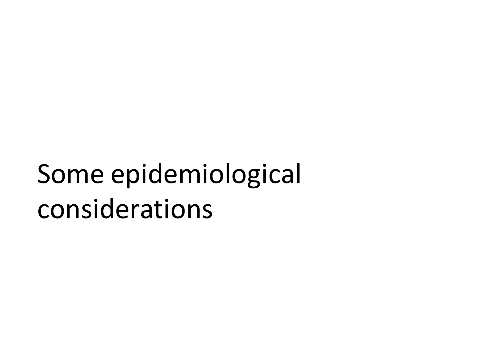## Some epidemiological considerations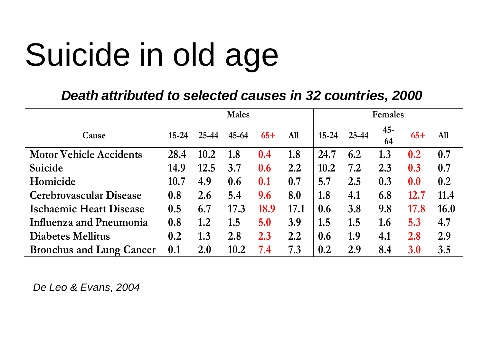*Death attributed to selected causes in 32 countries, 2000*

|                                 |           |           | <b>Males</b> |            |      | <b>Females</b> |       |              |       |      |
|---------------------------------|-----------|-----------|--------------|------------|------|----------------|-------|--------------|-------|------|
| Cause                           | $15 - 24$ | $25 - 44$ | $45 - 64$    | $65+$      | All  | $15 - 24$      | 25-44 | $45 -$<br>64 | $65+$ | All  |
| <b>Motor Vehicle Accidents</b>  | 28.4      | 10.2      | 1.8          | 0.4        | 1.8  | 24.7           | 6.2   | 1.3          | 0.2   | 0.7  |
| Suicide                         | 14.9      | 12.5      | 3.7          | <u>0.6</u> | 2.2  | 10.2           | 7.2   | 2.3          | 0.3   | 0.7  |
| Homicide                        | 10.7      | 4.9       | 0.6          | 0.1        | 0.7  | 5.7            | 2.5   | 0.3          | 0.0   | 0.2  |
| <b>Cerebrovascular Disease</b>  | 0.8       | 2.6       | 5.4          | 9.6        | 8.0  | 1.8            | 4.1   | 6.8          | 12.7  | 11.4 |
| <b>Ischaemic Heart Disease</b>  | 0.5       | 6.7       | 17.3         | 18.9       | 17.1 | 0.6            | 3.8   | 9.8          | 17.8  | 16.0 |
| Influenza and Pneumonia         | 0.8       | 1.2       | 1.5          | 5.0        | 3.9  | 1.5            | 1.5   | 1.6          | 5.3   | 4.7  |
| <b>Diabetes Mellitus</b>        | 0.2       | 1.3       | 2.8          | 2.3        | 2.2  | 0.6            | 1.9   | 4.1          | 2.8   | 2.9  |
| <b>Bronchus and Lung Cancer</b> | 0.1       | 2.0       | 10.2         | 7.4        | 7.3  | 0.2            | 2.9   | 8.4          | 3.0   | 3.5  |

*De Leo & Evans, 2004*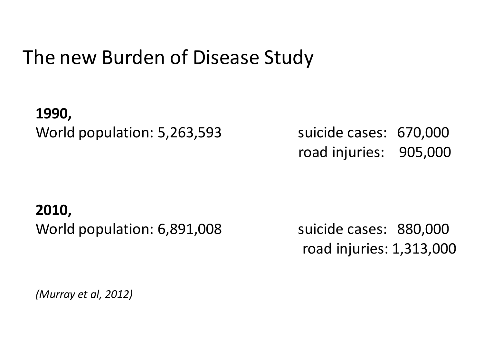#### The new Burden of Disease Study

**1990,**  World population: 5,263,593 suicide cases: 670,000

road injuries: 905,000

#### **2010,**  World population: 6,891,008 suicide cases: 880,000

road injuries: 1,313,000

*(Murray et al, 2012)*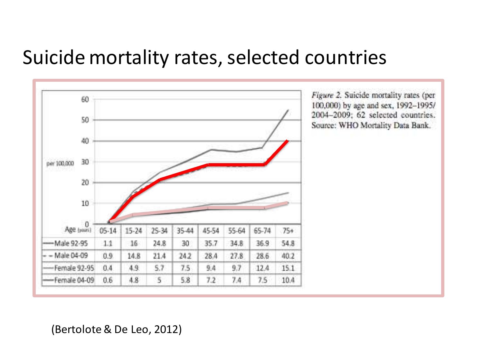#### Suicide mortality rates, selected countries



(Bertolote& De Leo, 2012)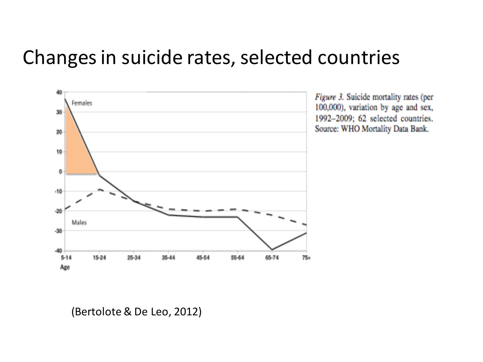#### Changes in suicide rates, selected countries



Figure 3. Suicide mortality rates (per 100,000), variation by age and sex, 1992-2009; 62 selected countries. Source: WHO Mortality Data Bank.

(Bertolote& De Leo, 2012)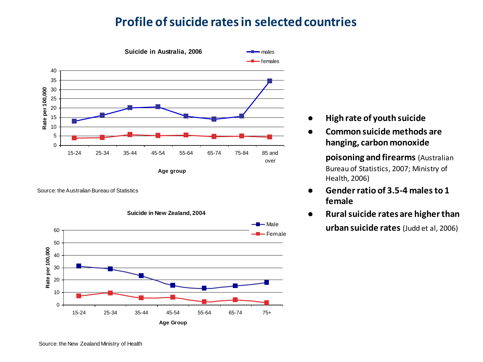#### **Profile of suicide rates in selected countries**



Source: the Australian Bureau of Statistics



- **High rate of youth suicide**
- **Common suicide methods are hanging, carbon monoxide**

**poisoning and firearms** (Australian Bureau of Statistics, 2007; Ministry of Health, 2006)

- **Gender ratio of 3.5-4 males to 1 female**
- **Rural suicide rates are higher than urban suicide rates** (Judd et al, 2006)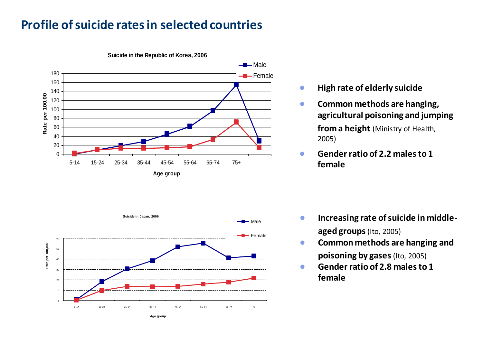#### **Profile of suicide rates in selected countries**



**Suicide in the Republic of Korea, 2006**

- **High rate of elderly suicide**   $\bullet$
- **Common methods are hanging,**   $\bullet$ **agricultural poisoning and jumping from a height** (Ministry of Health, 2005)
- **Gender ratio of 2.2 males to 1**   $\bullet$ **female**



- **Increasing rate of suicide in middle-** $\bullet$ **aged groups**(Ito, 2005)
- **Common methods are hanging and**   $\bullet$ **poisoning by gases**(Ito, 2005)
- **Gender ratio of 2.8 males to 1**   $\bullet$ **female**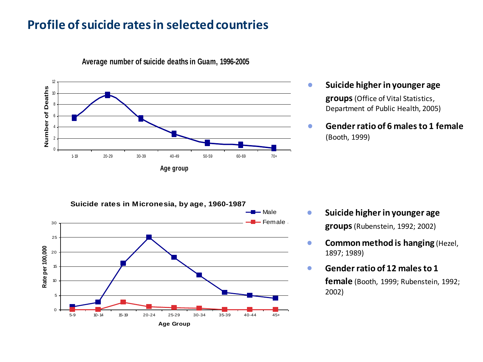#### **Profile of suicide rates in selected countries**



**Average number of suicide deaths in Guam, 1996-2005**

- **Suicide higher in younger age groups**(Office of Vital Statistics, Department of Public Health, 2005)
- **Gender ratio of 6 males to 1 female** (Booth, 1999)



- **Suicide higher in younger age**   $\bullet$ **groups**(Rubenstein, 1992; 2002)
- **Common method is hanging** (Hezel,  $\bullet$ 1897; 1989)
- **Gender ratio of 12 males to 1**   $\bullet$ **female** (Booth, 1999; Rubenstein, 1992; 2002)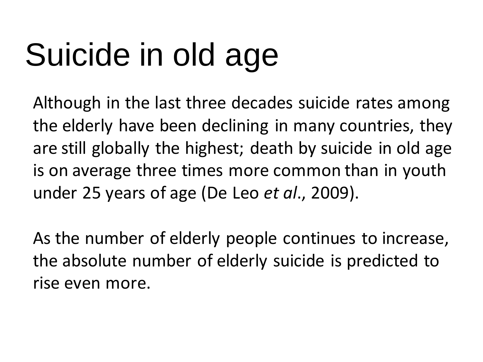Although in the last three decades suicide rates among the elderly have been declining in many countries, they are still globally the highest; death by suicide in old age is on average three times more common than in youth under 25 years of age (De Leo *et al*., 2009).

As the number of elderly people continues to increase, the absolute number of elderly suicide is predicted to rise even more.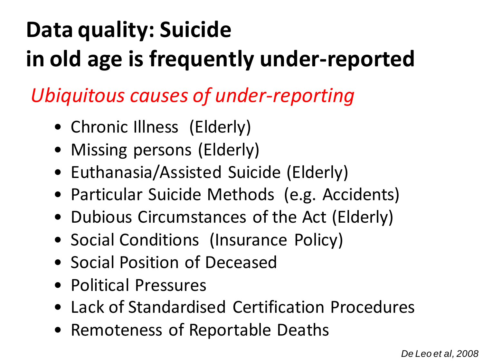#### **Data quality: Suicide in old age is frequently under-reported**

*Ubiquitous causes of under-reporting*

- Chronic Illness (Elderly)
- Missing persons (Elderly)
- Euthanasia/Assisted Suicide (Elderly)
- Particular Suicide Methods (e.g. Accidents)
- Dubious Circumstances of the Act (Elderly)
- Social Conditions (Insurance Policy)
- Social Position of Deceased
- Political Pressures
- Lack of Standardised Certification Procedures
- Remoteness of Reportable Deaths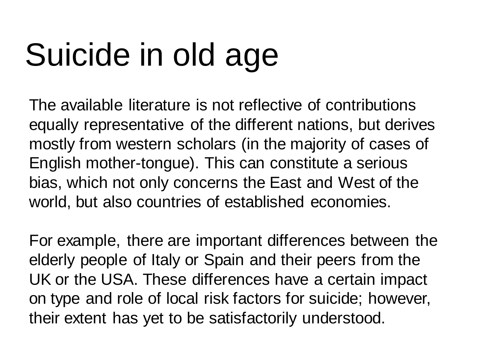The available literature is not reflective of contributions equally representative of the different nations, but derives mostly from western scholars (in the majority of cases of English mother-tongue). This can constitute a serious bias, which not only concerns the East and West of the world, but also countries of established economies.

For example, there are important differences between the elderly people of Italy or Spain and their peers from the UK or the USA. These differences have a certain impact on type and role of local risk factors for suicide; however, their extent has yet to be satisfactorily understood.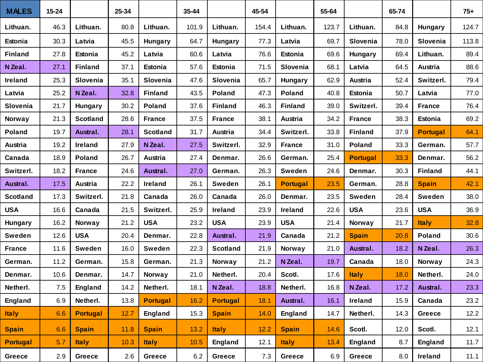| <b>MALES</b>    | $15 - 24$ |                 | 25-34 |                 | 35-44 |                 | 45-54 |                 | 55-64 |                 | 65-74 |                 | $75+$ |
|-----------------|-----------|-----------------|-------|-----------------|-------|-----------------|-------|-----------------|-------|-----------------|-------|-----------------|-------|
| Lithuan.        | 46.3      | Lithuan.        | 80.8  | Lithuan.        | 101.9 | Lithuan.        | 154.4 | Lithuan.        | 123.7 | Lithuan.        | 84.8  | <b>Hungary</b>  | 124.7 |
| Estonia         | 30.3      | Latvia          | 45.5  | <b>Hungary</b>  | 64.7  | Hungary         | 77.3  | Latvia          | 69.7  | Slovenia        | 78.0  | Slovenia        | 113.8 |
| <b>Finland</b>  | 27.8      | Estonia         | 45.2  | Latvia          | 60.6  | Latvia          | 76.6  | Estonia         | 69.6  | <b>Hungary</b>  | 69.4  | Lithuan.        | 89.4  |
| N Zeal.         | 27.1      | <b>Finland</b>  | 37.1  | Estonia         | 57.6  | Estonia         | 71.5  | Slovenia        | 68.1  | Latvia          | 64.5  | Austria         | 88.6  |
| <b>Ireland</b>  | 25.3      | Slovenia        | 35.1  | Slovenia        | 47.6  | Slovenia        | 65.7  | Hungary         | 62.9  | Austria         | 52.4  | Switzerl.       | 79.4  |
| Latvia          | 25.2      | N Zeal.         | 32.8  | <b>Finland</b>  | 43.5  | Poland          | 47.3  | <b>Poland</b>   | 40.8  | Estonia         | 50.7  | Latvia          | 77.0  |
| Slovenia        | 21.7      | <b>Hungary</b>  | 30.2  | <b>Poland</b>   | 37.6  | <b>Finland</b>  | 46.3  | <b>Finland</b>  | 39.0  | Switzerl.       | 39.4  | <b>France</b>   | 76.4  |
| Norway          | 21.3      | <b>Scotland</b> | 28.6  | <b>France</b>   | 37.5  | <b>France</b>   | 38.1  | Austria         | 34.2  | <b>France</b>   | 38.3  | <b>Estonia</b>  | 69.2  |
| Poland          | 19.7      | Austral.        | 28.1  | <b>Scotland</b> | 31.7  | Austria         | 34.4  | Switzerl.       | 33.8  | <b>Finland</b>  | 37.9  | <b>Portugal</b> | 64.1  |
| Austria         | 19.2      | Ireland         | 27.9  | N Zeal.         | 27.5  | Switzerl.       | 32.9  | <b>France</b>   | 31.0  | <b>Poland</b>   | 33.3  | German.         | 57.7  |
| Canada          | 18.9      | <b>Poland</b>   | 26.7  | Austria         | 27.4  | Denmar.         | 26.6  | German.         | 25.4  | <b>Portugal</b> | 33.3  | Denmar.         | 56.2  |
| Switzerl.       | 18.2      | <b>France</b>   | 24.6  | Austral.        | 27.0  | German.         | 26.3  | <b>Sweden</b>   | 24.6  | Denmar.         | 30.3  | <b>Finland</b>  | 44.1  |
| Austral.        | 17.5      | Austria         | 22.2  | Ireland         | 26.1  | Sweden          | 26.1  | <b>Portugal</b> | 23.5  | German.         | 28.8  | <b>Spain</b>    | 42.1  |
| <b>Scotland</b> | 17.3      | Switzerl.       | 21.8  | Canada          | 26.0  | Canada          | 26.0  | Denmar.         | 23.5  | <b>Sweden</b>   | 28.4  | <b>Sweden</b>   | 38.0  |
| <b>USA</b>      | 16.6      | Canada          | 21.5  | Switzerl.       | 25.9  | Ireland         | 23.9  | Ireland         | 22.6  | <b>USA</b>      | 23.6  | <b>USA</b>      | 36.9  |
| <b>Hungary</b>  | 16.2      | Norway          | 21.2  | <b>USA</b>      | 23.2  | <b>USA</b>      | 23.9  | <b>USA</b>      | 21.4  | Norway          | 21.7  | <b>Italy</b>    | 32.8  |
| Sweden          | 12.6      | <b>USA</b>      | 20.4  | Denmar.         | 22.8  | Austral.        | 21.9  | Canada          | 21.2  | <b>Spain</b>    | 20.8  | Poland          | 30.6  |
| <b>France</b>   | 11.6      | Sweden          | 16.0  | Sweden          | 22.3  | <b>Scotland</b> | 21.9  | Norway          | 21.0  | Austral.        | 18.2  | N Zeal.         | 26.3  |
| German.         | 11.2      | German.         | 15.8  | German.         | 21.3  | Norway          | 21.2  | N Zeal.         | 19.7  | Canada          | 18.0  | Norway          | 24.3  |
| Denmar.         | 10.6      | Denmar.         | 14.7  | Norway          | 21.0  | Netherl.        | 20.4  | Scotl.          | 17.6  | <b>Italy</b>    | 18.0  | Netherl.        | 24.0  |
| Netherl.        | 7.5       | <b>England</b>  | 14.2  | Netherl.        | 18.1  | N Zeal.         | 18.8  | Netherl.        | 16.8  | N Zeal.         | 17.2  | Austral.        | 23.3  |
| <b>England</b>  | 6.9       | Netherl.        | 13.8  | <b>Portugal</b> | 16.2  | <b>Portugal</b> | 18.1  | Austral.        | 16.1  | Ireland         | 15.9  | Canada          | 23.2  |
| <b>Italy</b>    | 6.6       | <b>Portugal</b> | 12.7  | England         | 15.3  | <b>Spain</b>    | 14.0  | England         | 14.7  | Netherl.        | 14.3  | Greece          | 12.2  |
| <b>Spain</b>    | 6.6       | <b>Spain</b>    | 11.8  | <b>Spain</b>    | 13.2  | <b>Italy</b>    | 12.2  | <b>Spain</b>    | 14.6  | Scotl.          | 12.0  | Scotl.          | 12.1  |
| <b>Portugal</b> | 5.7       | <b>Italy</b>    | 10.3  | <b>Italy</b>    | 10.5  | England         | 12.1  | <b>Italy</b>    | 13.4  | England         | 8.7   | England         | 11.7  |
| <b>Greece</b>   | 2.9       | Greece          | 2.6   | <b>Greece</b>   | 6.2   | Greece          | 7.3   | Greece          | 6.9   | <b>Greece</b>   | 8.0   | Ireland         | 11.1  |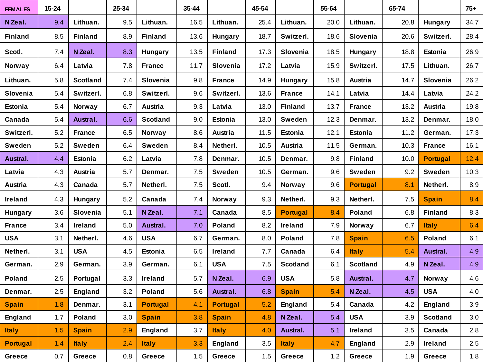| <b>FEMALES</b>  | 15-24 |                 | 25-34 |                 | 35-44 |                 | 45-54 |                 | 55-64 |                 | 65-74 |                 | $75+$ |
|-----------------|-------|-----------------|-------|-----------------|-------|-----------------|-------|-----------------|-------|-----------------|-------|-----------------|-------|
| N Zeal.         | 9.4   | Lithuan.        | 9.5   | Lithuan.        | 16.5  | Lithuan.        | 25.4  | Lithuan.        | 20.0  | Lithuan.        | 20.8  | <b>Hungary</b>  | 34.7  |
| <b>Finland</b>  | 8.5   | <b>Finland</b>  | 8.9   | <b>Finland</b>  | 13.6  | <b>Hungary</b>  | 18.7  | Switzerl.       | 18.6  | Slovenia        | 20.6  | Switzerl.       | 28.4  |
| Scotl.          | 7.4   | N Zeal.         | 8.3   | Hungary         | 13.5  | <b>Finland</b>  | 17.3  | Slovenia        | 18.5  | Hungary         | 18.8  | Estonia         | 26.9  |
| Norway          | 6.4   | Latvia          | 7.8   | <b>France</b>   | 11.7  | Slovenia        | 17.2  | Latvia          | 15.9  | Switzerl.       | 17.5  | Lithuan.        | 26.7  |
| Lithuan.        | 5.8   | <b>Scotland</b> | 7.4   | Slovenia        | 9.8   | <b>France</b>   | 14.9  | <b>Hungary</b>  | 15.8  | Austria         | 14.7  | Slovenia        | 26.2  |
| Slovenia        | 5.4   | Switzerl.       | 6.8   | Switzerl.       | 9.6   | Switzerl.       | 13.6  | <b>France</b>   | 14.1  | Latvia          | 14.4  | Latvia          | 24.2  |
| <b>Estonia</b>  | 5.4   | Norway          | 6.7   | Austria         | 9.3   | Latvia          | 13.0  | <b>Finland</b>  | 13.7  | <b>France</b>   | 13.2  | Austria         | 19.8  |
| Canada          | 5.4   | Austral.        | 6.6   | <b>Scotland</b> | 9.0   | <b>Estonia</b>  | 13.0  | Sweden          | 12.3  | Denmar.         | 13.2  | Denmar.         | 18.0  |
| Switzerl.       | 5.2   | <b>France</b>   | 6.5   | Norway          | 8.6   | Austria         | 11.5  | <b>Estonia</b>  | 12.1  | Estonia         | 11.2  | German.         | 17.3  |
| Sweden          | 5.2   | <b>Sweden</b>   | 6.4   | Sweden          | 8.4   | Netherl.        | 10.5  | Austria         | 11.5  | German.         | 10.3  | <b>France</b>   | 16.1  |
| Austral.        | 4.4   | Estonia         | 6.2   | Latvia          | 7.8   | Denmar.         | 10.5  | Denmar.         | 9.8   | <b>Finland</b>  | 10.0  | <b>Portugal</b> | 12.4  |
| Latvia          | 4.3   | Austria         | 5.7   | Denmar.         | 7.5   | Sweden          | 10.5  | German.         | 9.6   | Sweden          | 9.2   | <b>Sweden</b>   | 10.3  |
| Austria         | 4.3   | Canada          | 5.7   | Netherl.        | 7.5   | Scotl.          | 9.4   | Norway          | 9.6   | <b>Portugal</b> | 8.1   | Netherl.        | 8.9   |
| Ireland         | 4.3   | <b>Hungary</b>  | 5.2   | Canada          | 7.4   | Norway          | 9.3   | Netherl.        | 9.3   | Netherl.        | 7.5   | <b>Spain</b>    | 8.4   |
| <b>Hungary</b>  | 3.6   | Slovenia        | 5.1   | N Zeal.         | 7.1   | Canada          | 8.5   | <b>Portugal</b> | 8.4   | Poland          | 6.8   | <b>Finland</b>  | 8.3   |
| <b>France</b>   | 3.4   | Ireland         | 5.0   | Austral.        | 7.0   | Poland          | 8.2   | Ireland         | 7.9   | Norway          | 6.7   | <b>Italy</b>    | 6.4   |
| <b>USA</b>      | 3.1   | Netherl.        | 4.6   | <b>USA</b>      | 6.7   | German.         | 8.0   | <b>Poland</b>   | 7.8   | <b>Spain</b>    | 6.5   | <b>Poland</b>   | 6.1   |
| Netherl.        | 3.1   | <b>USA</b>      | 4.5   | Estonia         | 6.5   | Ireland         | 7.7   | Canada          | 6.4   | <b>Italy</b>    | 5.4   | Austral.        | 4.9   |
| German.         | 2.9   | German.         | 3.9   | German.         | 6.1   | <b>USA</b>      | 7.5   | <b>Scotland</b> | 6.1   | <b>Scotland</b> | 4.9   | N Zeal.         | 4.9   |
| <b>Poland</b>   | 2.5   | Portugal        | 3.3   | Ireland         | 5.7   | N Zeal.         | 6.9   | <b>USA</b>      | 5.8   | Austral.        | 4.7   | Norway          | 4.6   |
| Denmar.         | 2.5   | <b>England</b>  | 3.2   | Poland          | 5.6   | Austral.        | 6.8   | <b>Spain</b>    | 5.4   | N Zeal.         | 4.5   | <b>USA</b>      | 4.0   |
| <b>Spain</b>    | 1.8   | Denmar.         | 3.1   | <b>Portugal</b> | 4.1   | <b>Portugal</b> | 5.2   | <b>England</b>  | 5.4   | Canada          | 4.2   | England         | 3.9   |
| England         | 1.7   | <b>Poland</b>   | 3.0   | <b>Spain</b>    | 3.8   | <b>Spain</b>    | 4.8   | N Zeal.         | 5.4   | <b>USA</b>      | 3.9   | <b>Scotland</b> | 3.0   |
| <b>Italy</b>    | 1.5   | <b>Spain</b>    | 2.9   | England         | 3.7   | <b>Italy</b>    | 4.0   | Austral.        | 5.1   | Ireland         | 3.5   | Canada          | 2.8   |
| <b>Portugal</b> | 1.4   | <b>Italy</b>    | 2.4   | <b>Italy</b>    | 3.3   | England         | 3.5   | <b>Italy</b>    | 4.7   | England         | 2.9   | Ireland         | 2.5   |
| Greece          | 0.7   | Greece          | 0.8   | Greece          | 1.5   | Greece          | 1.5   | Greece          | 1.2   | Greece          | 1.9   | Greece          | 1.8   |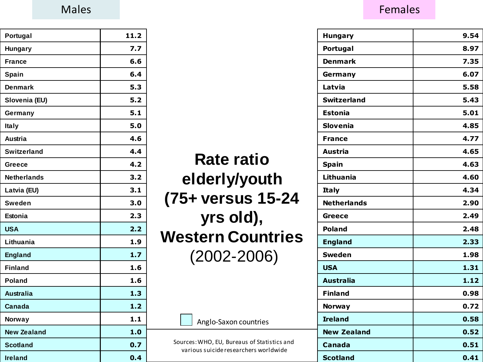| Portugal           | 11.2 |
|--------------------|------|
| <b>Hungary</b>     | 7.7  |
| <b>France</b>      | 6.6  |
| Spain              | 6.4  |
| <b>Denmark</b>     | 5.3  |
| Slovenia (EU)      | 5.2  |
| Germany            | 5.1  |
| Italy              | 5.0  |
| <b>Austria</b>     | 4.6  |
| <b>Switzerland</b> | 4.4  |
| Greece             | 4.2  |
| <b>Netherlands</b> | 3.2  |
| Latvia (EU)        | 3.1  |
| <b>Sweden</b>      | 3.0  |
| <b>Estonia</b>     | 2.3  |
| <b>USA</b>         | 2.2  |
| Lithuania          | 1.9  |
| <b>England</b>     | 1.7  |
| <b>Finland</b>     | 1.6  |
| <b>Poland</b>      | 1.6  |
| <b>Australia</b>   | 1.3  |
| Canada             | 1.2  |
| Norway             | 1.1  |
| <b>New Zealand</b> | 1.0  |
| <b>Scotland</b>    | 0.7  |
| <b>Ireland</b>     | 0.4  |

| <b>Rate ratio</b><br>elderly/youth<br>(75+ versus 15-24<br>yrs old),<br><b>Western Countries</b><br>$(2002 - 2006)$ |
|---------------------------------------------------------------------------------------------------------------------|
| Anglo-Saxon countries                                                                                               |

Sources: WHO, EU, Bureaus of Statistics and various suicide researchers worldwide

#### Males **Females Females**

| <b>Hungary</b>     | 9.54 |
|--------------------|------|
| Portugal           | 8.97 |
| <b>Denmark</b>     | 7.35 |
| Germany            | 6.07 |
| Latvia             | 5.58 |
| <b>Switzerland</b> | 5.43 |
| <b>Estonia</b>     | 5.01 |
| <b>Slovenia</b>    | 4.85 |
| <b>France</b>      | 4.77 |
| <b>Austria</b>     | 4.65 |
| <b>Spain</b>       | 4.63 |
| Lithuania          | 4.60 |
| <b>Italy</b>       | 4.34 |
| <b>Netherlands</b> | 2.90 |
| Greece             | 2.49 |
| <b>Poland</b>      | 2.48 |
| <b>England</b>     | 2.33 |
| <b>Sweden</b>      | 1.98 |
| <b>USA</b>         | 1.31 |
| <b>Australia</b>   | 1.12 |
| <b>Finland</b>     | 0.98 |
| <b>Norway</b>      | 0.72 |
| <b>Ireland</b>     | 0.58 |
| <b>New Zealand</b> | 0.52 |
| Canada             | 0.51 |
| <b>Scotland</b>    | 0.41 |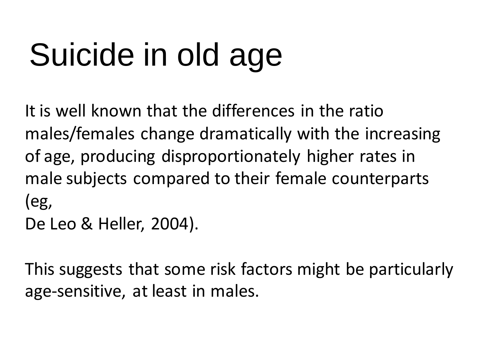It is well known that the differences in the ratio males/females change dramatically with the increasing of age, producing disproportionately higher rates in male subjects compared to their female counterparts (eg, De Leo & Heller, 2004).

This suggests that some risk factors might be particularly age-sensitive, at least in males.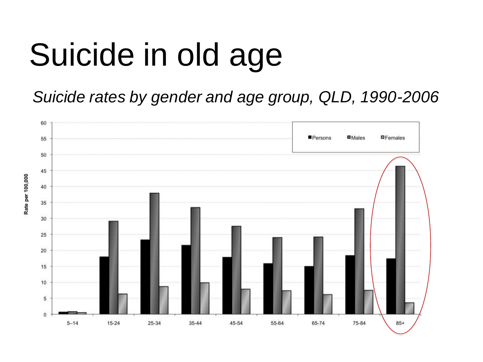*Suicide rates by gender and age group, QLD, 1990-2006*



Rate per 100,000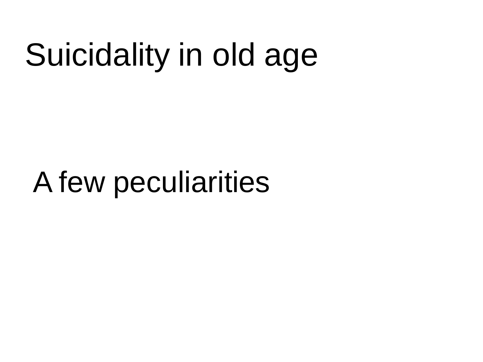## A few peculiarities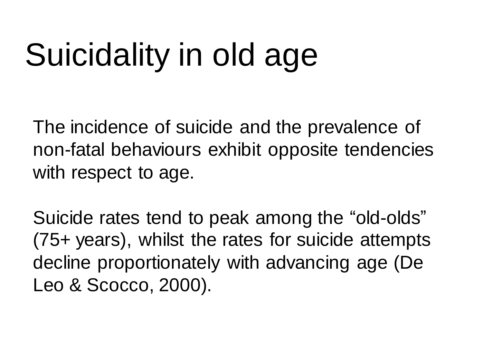The incidence of suicide and the prevalence of non-fatal behaviours exhibit opposite tendencies with respect to age.

Suicide rates tend to peak among the "old-olds" (75+ years), whilst the rates for suicide attempts decline proportionately with advancing age (De Leo & Scocco, 2000).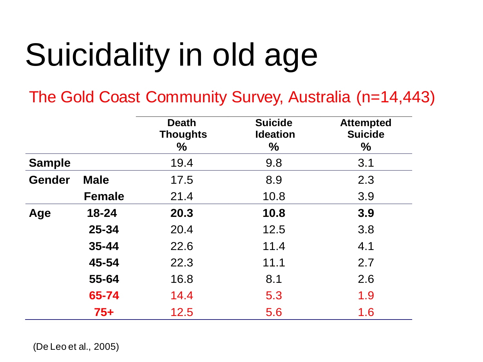The Gold Coast Community Survey, Australia (n=14,443)

|               |               | <b>Death</b><br><b>Thoughts</b><br>$\%$ | <b>Suicide</b><br><b>Ideation</b><br>$\%$ | <b>Attempted</b><br><b>Suicide</b><br>$\%$ |
|---------------|---------------|-----------------------------------------|-------------------------------------------|--------------------------------------------|
| <b>Sample</b> |               | 19.4                                    | 9.8                                       | 3.1                                        |
| <b>Gender</b> | <b>Male</b>   | 17.5                                    | 8.9                                       | 2.3                                        |
|               | <b>Female</b> | 21.4                                    | 10.8                                      | 3.9                                        |
| Age           | 18-24         | 20.3                                    | 10.8                                      | 3.9                                        |
|               | $25 - 34$     | 20.4                                    | 12.5                                      | 3.8                                        |
|               | $35 - 44$     | 22.6                                    | 11.4                                      | 4.1                                        |
|               | 45-54         | 22.3                                    | 11.1                                      | 2.7                                        |
|               | 55-64         | 16.8                                    | 8.1                                       | 2.6                                        |
|               | 65-74         | 14.4                                    | 5.3                                       | 1.9                                        |
|               | $75+$         | 12.5                                    | 5.6                                       | 1.6                                        |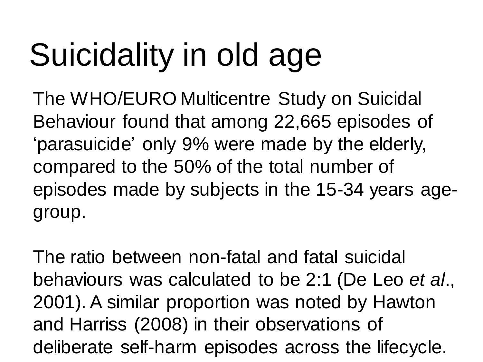The WHO/EURO Multicentre Study on Suicidal Behaviour found that among 22,665 episodes of 'parasuicide' only 9% were made by the elderly, compared to the 50% of the total number of episodes made by subjects in the 15-34 years agegroup.

The ratio between non-fatal and fatal suicidal behaviours was calculated to be 2:1 (De Leo *et al*., 2001). A similar proportion was noted by Hawton and Harriss (2008) in their observations of deliberate self-harm episodes across the lifecycle.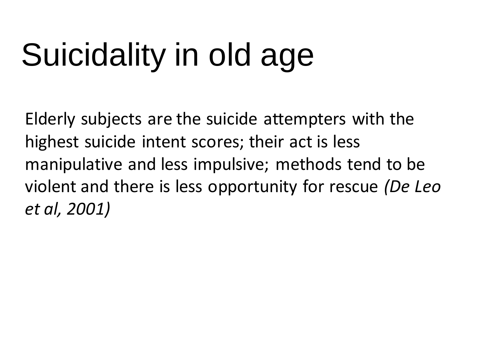Elderly subjects are the suicide attempters with the highest suicide intent scores; their act is less manipulative and less impulsive; methods tend to be violent and there is less opportunity for rescue *(De Leo et al, 2001)*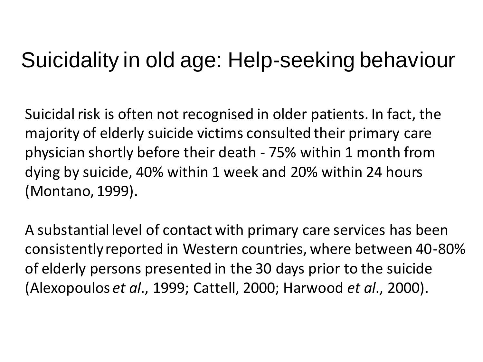#### Suicidality in old age: Help-seeking behaviour

Suicidal risk is often not recognised in older patients. In fact, the majority of elderly suicide victims consulted their primary care physician shortly before their death - 75% within 1 month from dying by suicide, 40% within 1 week and 20% within 24 hours (Montano, 1999).

A substantial level of contact with primary care services has been consistently reported in Western countries, where between 40-80% of elderly persons presented in the 30 days prior to the suicide (Alexopoulos *et al*., 1999; Cattell, 2000; Harwood *et al*., 2000).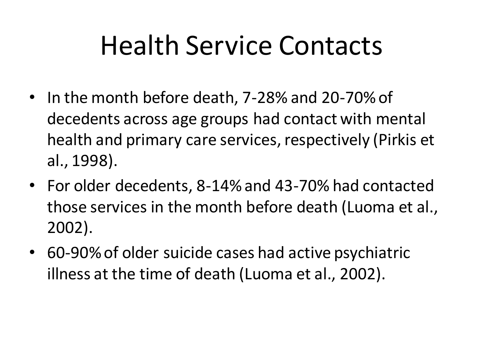## Health Service Contacts

- In the month before death, 7-28% and 20-70% of decedents across age groups had contact with mental health and primary care services, respectively (Pirkis et al., 1998).
- For older decedents, 8-14% and 43-70% had contacted those services in the month before death (Luoma et al., 2002).
- 60-90% of older suicide cases had active psychiatric illness at the time of death (Luoma et al., 2002).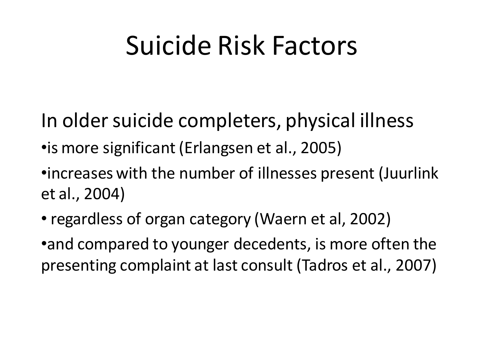### Suicide Risk Factors

- In older suicide completers, physical illness
- •is more significant (Erlangsen et al., 2005)
- •increases with the number of illnesses present (Juurlink et al., 2004)
- regardless of organ category (Waern et al, 2002)
- •and compared to younger decedents, is more often the presenting complaint at last consult (Tadros et al., 2007)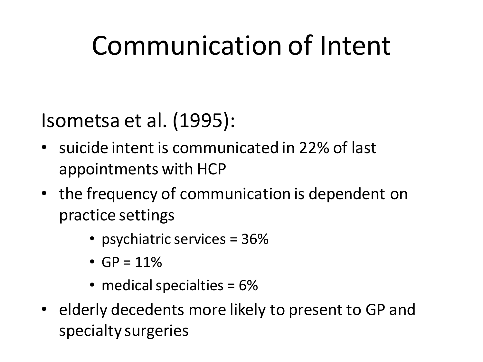## Communication of Intent

#### Isometsa et al. (1995):

- suicide intent is communicated in 22% of last appointments with HCP
- the frequency of communication is dependent on practice settings
	- psychiatric services = 36%
	- $GP = 11\%$
	- medical specialties = 6%
- elderly decedents more likely to present to GP and specialty surgeries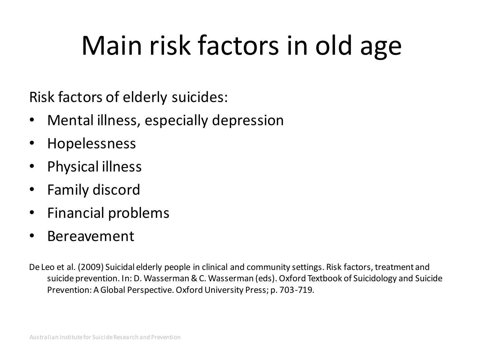## Main risk factors in old age

Risk factors of elderly suicides:

- Mental illness, especially depression
- Hopelessness
- Physical illness
- Family discord
- Financial problems
- Bereavement

De Leo et al. (2009) Suicidal elderly people in clinical and community settings. Risk factors, treatment and suicide prevention. In: D. Wasserman & C. Wasserman (eds). Oxford Textbook of Suicidology and Suicide Prevention: A Global Perspective. Oxford University Press; p. 703-719.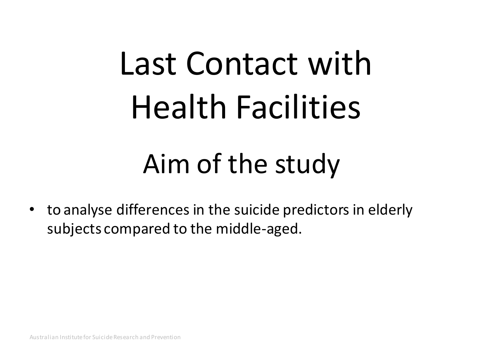# Last Contact with Health Facilities

### Aim of the study

• to analyse differences in the suicide predictors in elderly subjects compared to the middle-aged.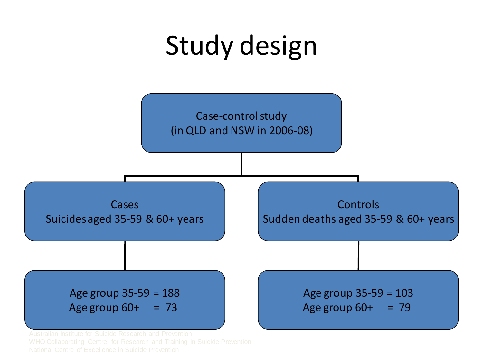## Study design

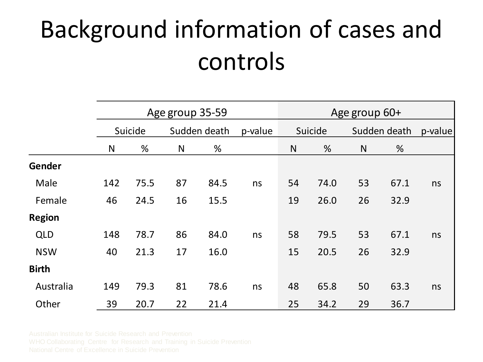### Background information of cases and controls

|               |     |         | Age group 35-59 |              | Age group 60+ |         |      |    |              |    |
|---------------|-----|---------|-----------------|--------------|---------------|---------|------|----|--------------|----|
|               |     | Suicide |                 | Sudden death |               | Suicide |      |    | Sudden death |    |
|               | N   | %       | N               | %            |               | N       | %    | N  | %            |    |
| Gender        |     |         |                 |              |               |         |      |    |              |    |
| Male          | 142 | 75.5    | 87              | 84.5         | ns            | 54      | 74.0 | 53 | 67.1         | ns |
| Female        | 46  | 24.5    | 16              | 15.5         |               | 19      | 26.0 | 26 | 32.9         |    |
| <b>Region</b> |     |         |                 |              |               |         |      |    |              |    |
| <b>QLD</b>    | 148 | 78.7    | 86              | 84.0         | ns            | 58      | 79.5 | 53 | 67.1         | ns |
| <b>NSW</b>    | 40  | 21.3    | 17              | 16.0         |               | 15      | 20.5 | 26 | 32.9         |    |
| <b>Birth</b>  |     |         |                 |              |               |         |      |    |              |    |
| Australia     | 149 | 79.3    | 81              | 78.6         | ns            | 48      | 65.8 | 50 | 63.3         | ns |
| Other         | 39  | 20.7    | 22              | 21.4         |               | 25      | 34.2 | 29 | 36.7         |    |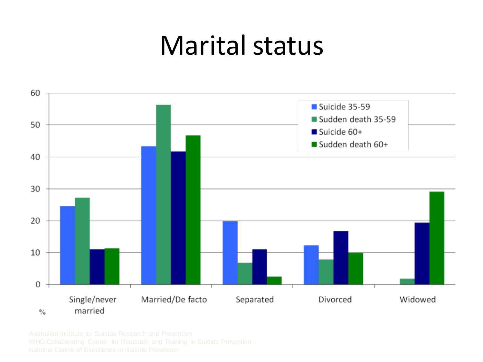#### Marital status

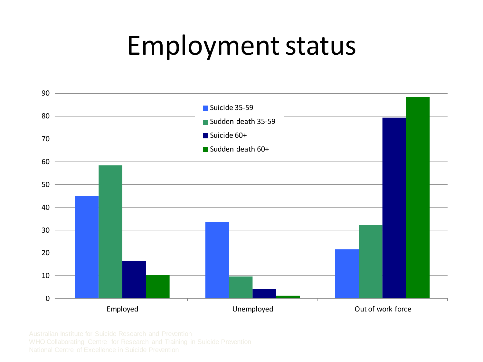### Employment status

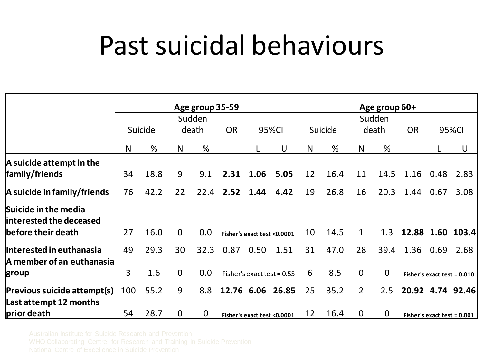### Past suicidal behaviours

|                                                       |                |         |                |             | Age group 35-59                       |                              |      |         |      |                 |             |           | Age group 60+ |                               |  |  |  |
|-------------------------------------------------------|----------------|---------|----------------|-------------|---------------------------------------|------------------------------|------|---------|------|-----------------|-------------|-----------|---------------|-------------------------------|--|--|--|
|                                                       |                | Suicide |                |             | Sudden<br>death<br><b>OR</b><br>95%CI |                              |      | Suicide |      | Sudden<br>death |             | <b>OR</b> |               | 95%CI                         |  |  |  |
|                                                       | N              | %       | N              | %           |                                       |                              | U    | N       | %    | N               | %           |           |               | U                             |  |  |  |
| A suicide attempt in the<br>family/friends            | 34             | 18.8    | 9              | 9.1         | 2.31                                  | 1.06                         | 5.05 | 12      | 16.4 | 11              | 14.5        | 1.16      | 0.48          | 2.83                          |  |  |  |
| A suicide in family/friends                           | 76             | 42.2    | 22             | 22.4        | 2.52                                  | 1.44                         | 4.42 | 19      | 26.8 | 16              | 20.3        | 1.44      | 0.67          | 3.08                          |  |  |  |
| Suicide in the media<br>interested the deceased       |                |         |                |             |                                       |                              |      |         |      |                 |             |           |               |                               |  |  |  |
| before their death                                    | 27             | 16.0    | $\overline{0}$ | 0.0         |                                       | Fisher's exact test <0.0001  |      | 10      | 14.5 | $\mathbf{1}$    | 1.3         |           |               | 12.88 1.60 103.4              |  |  |  |
| Interested in euthanasia<br>A member of an euthanasia | 49             | 29.3    | 30             | 32.3        | 0.87                                  | 0.50                         | 1.51 | 31      | 47.0 | 28              | 39.4        | 1.36      | 0.69          | 2.68                          |  |  |  |
| group                                                 | $\overline{3}$ | 1.6     | $\overline{0}$ | 0.0         |                                       | Fisher's exact test = $0.55$ |      | 6       | 8.5  | $\overline{0}$  | $\mathbf 0$ |           |               | Fisher's exact test = $0.010$ |  |  |  |
| Previous suicide attempt(s)<br>Last attempt 12 months | 100            | 55.2    | 9              | 8.8         |                                       | 12.76 6.06 26.85             |      | 25      | 35.2 | $\overline{2}$  | 2.5         |           |               | 20.92 4.74 92.46              |  |  |  |
| prior death                                           | 54             | 28.7    | $\mathbf{0}$   | $\mathbf 0$ |                                       | Fisher's exact test <0.0001  |      | 12      | 16.4 | $\mathbf 0$     | $\mathbf 0$ |           |               | Fisher's exact test $= 0.001$ |  |  |  |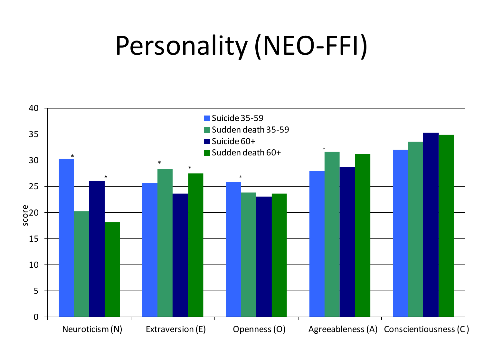## Personality (NEO-FFI)

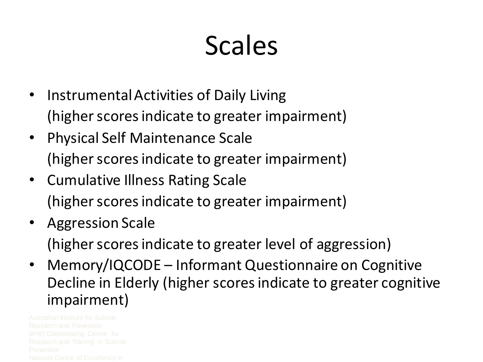## Scales

- Instrumental Activities of Daily Living (higher scores indicate to greater impairment)
- Physical Self Maintenance Scale (higher scores indicate to greater impairment)
- Cumulative Illness Rating Scale (higher scores indicate to greater impairment)
- Aggression Scale

(higher scores indicate to greater level of aggression)

• Memory/IQCODE – Informant Questionnaire on Cognitive Decline in Elderly (higher scores indicate to greater cognitive impairment)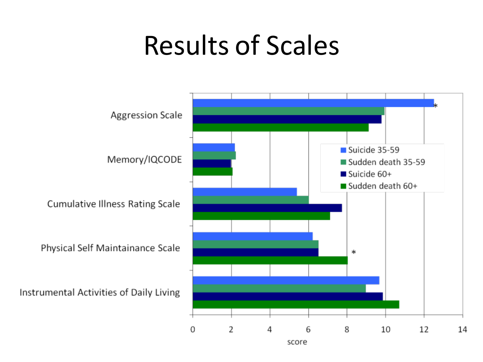### Results of Scales

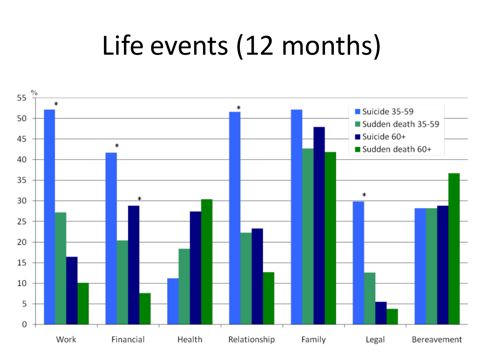## Life events (12 months)

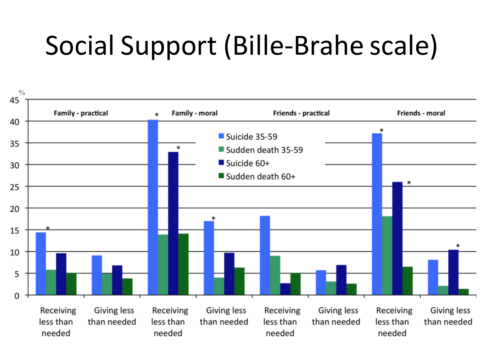## Social Support (Bille-Brahe scale)

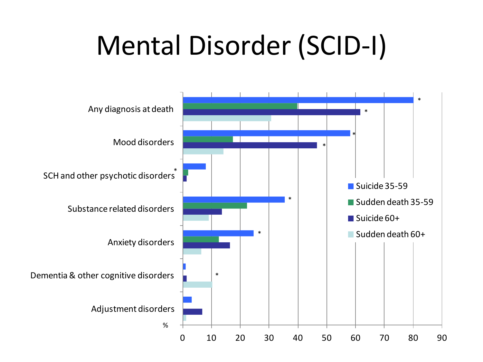## Mental Disorder (SCID-I)

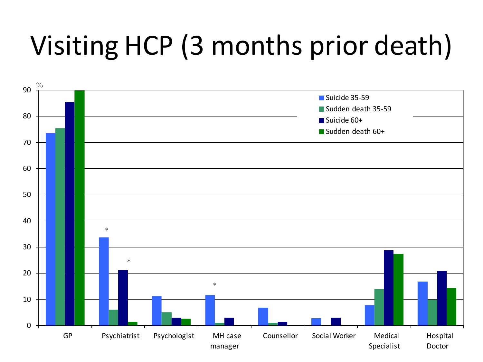## Visiting HCP (3 months prior death)

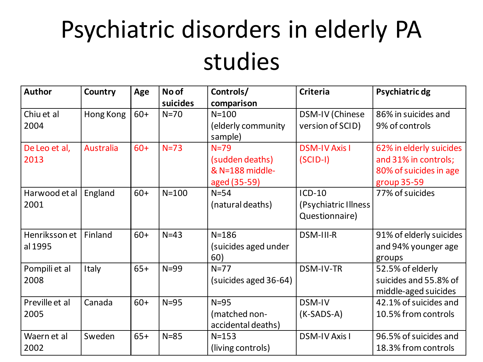### Psychiatric disorders in elderly PA studies

| <b>Author</b>  | Country          | Age   | No of     | Controls/             | <b>Criteria</b>        | Psychiatric dg          |
|----------------|------------------|-------|-----------|-----------------------|------------------------|-------------------------|
|                |                  |       | suicides  | comparison            |                        |                         |
| Chiu et al     | Hong Kong        | $60+$ | $N=70$    | $N = 100$             | <b>DSM-IV (Chinese</b> | 86% in suicides and     |
| 2004           |                  |       |           | (elderly community    | version of SCID)       | 9% of controls          |
|                |                  |       |           | sample)               |                        |                         |
| De Leo et al,  | <b>Australia</b> | $60+$ | $N=73$    | $N=79$                | <b>DSM-IV Axis I</b>   | 62% in elderly suicides |
| 2013           |                  |       |           | (sudden deaths)       | $(SCID-I)$             | and 31% in controls;    |
|                |                  |       |           | & N=188 middle-       |                        | 80% of suicides in age  |
|                |                  |       |           | aged (35-59)          |                        | group 35-59             |
| Harwood et al  | England          | $60+$ | $N = 100$ | $N=54$                | $ICD-10$               | 77% of suicides         |
| 2001           |                  |       |           | (natural deaths)      | (Psychiatric Illness   |                         |
|                |                  |       |           |                       | Questionnaire)         |                         |
| Henriksson et  | Finland          | $60+$ | $N=43$    | $N = 186$             | DSM-III-R              | 91% of elderly suicides |
| al 1995        |                  |       |           | (suicides aged under  |                        | and 94% younger age     |
|                |                  |       |           | 60)                   |                        | groups                  |
| Pompili et al  | Italy            | $65+$ | $N = 99$  | $N=77$                | DSM-IV-TR              | 52.5% of elderly        |
| 2008           |                  |       |           | (suicides aged 36-64) |                        | suicides and 55.8% of   |
|                |                  |       |           |                       |                        | middle-aged suicides    |
| Preville et al | Canada           | $60+$ | $N = 95$  | $N=95$                | DSM-IV                 | 42.1% of suicides and   |
| 2005           |                  |       |           | (matched non-         | $(K-SADS-A)$           | 10.5% from controls     |
|                |                  |       |           | accidental deaths)    |                        |                         |
| Waern et al    | Sweden           | $65+$ | $N = 85$  | $N = 153$             | <b>DSM-IV Axis I</b>   | 96.5% of suicides and   |
| 2002           |                  |       |           | (living controls)     |                        | 18.3% from controls     |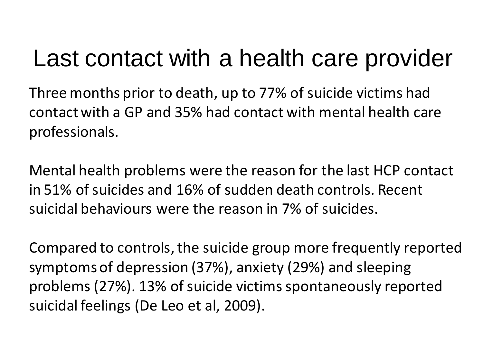Three months prior to death, up to 77% of suicide victims had contact with a GP and 35% had contact with mental health care professionals.

Mental health problems were the reason for the last HCP contact in 51% of suicides and 16% of sudden death controls. Recent suicidal behaviours were the reason in 7% of suicides.

Compared to controls, the suicide group more frequently reported symptoms of depression (37%), anxiety (29%) and sleeping problems (27%). 13% of suicide victims spontaneously reported suicidal feelings (De Leo et al, 2009).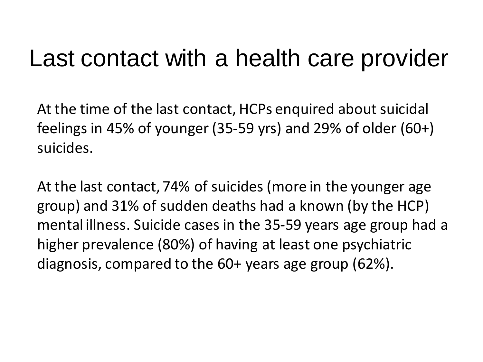At the time of the last contact, HCPs enquired about suicidal feelings in 45% of younger (35-59 yrs) and 29% of older (60+) suicides.

At the last contact, 74% of suicides (more in the younger age group) and 31% of sudden deaths had a known (by the HCP) mental illness. Suicide cases in the 35-59 years age group had a higher prevalence (80%) of having at least one psychiatric diagnosis, compared to the 60+ years age group (62%).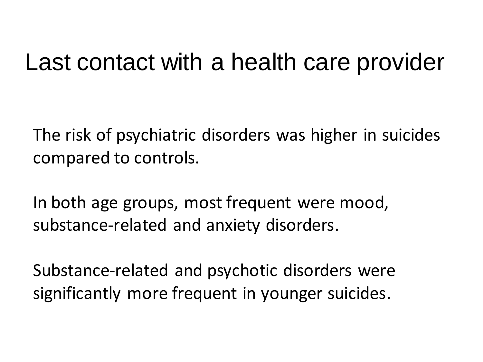The risk of psychiatric disorders was higher in suicides compared to controls.

In both age groups, most frequent were mood, substance-related and anxiety disorders.

Substance-related and psychotic disorders were significantly more frequent in younger suicides.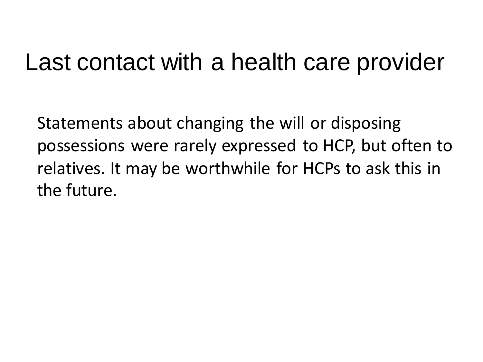Statements about changing the will or disposing possessions were rarely expressed to HCP, but often to relatives. It may be worthwhile for HCPs to ask this in the future.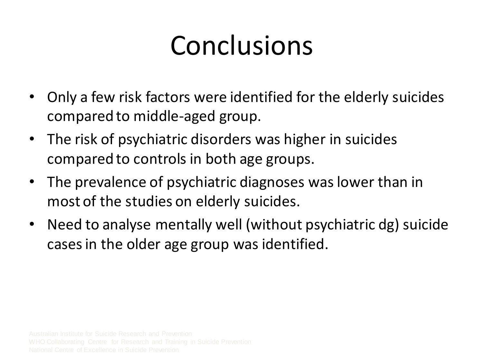## Conclusions

- Only a few risk factors were identified for the elderly suicides compared to middle-aged group.
- The risk of psychiatric disorders was higher in suicides compared to controls in both age groups.
- The prevalence of psychiatric diagnoses was lower than in most of the studies on elderly suicides.
- Need to analyse mentally well (without psychiatric dg) suicide cases in the older age group was identified.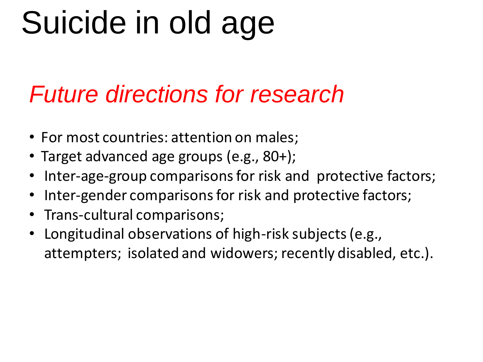#### *Future directions for research*

- For most countries: attention on males;
- Target advanced age groups (e.g., 80+);
- Inter-age-group comparisons for risk and protective factors;
- Inter-gender comparisons for risk and protective factors;
- Trans-cultural comparisons;
- Longitudinal observations of high-risk subjects (e.g., attempters; isolated and widowers; recently disabled, etc.).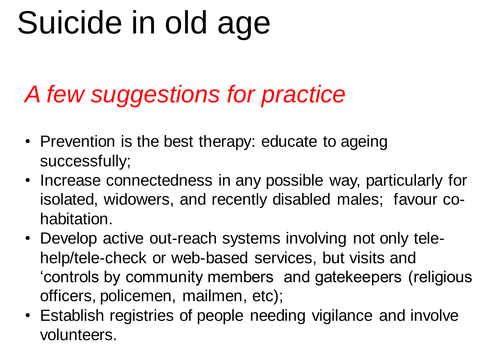#### *A few suggestions for practice*

- Prevention is the best therapy: educate to ageing successfully;
- Increase connectedness in any possible way, particularly for isolated, widowers, and recently disabled males; favour cohabitation.
- Develop active out-reach systems involving not only telehelp/tele-check or web-based services, but visits and 'controls by community members and gatekeepers (religious officers, policemen, mailmen, etc);
- Establish registries of people needing vigilance and involve volunteers.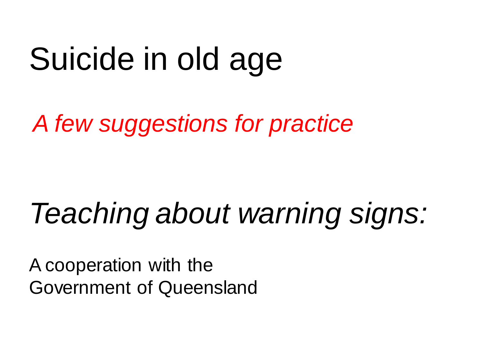*A few suggestions for practice*

## *Teaching about warning signs:*

A cooperation with the Government of Queensland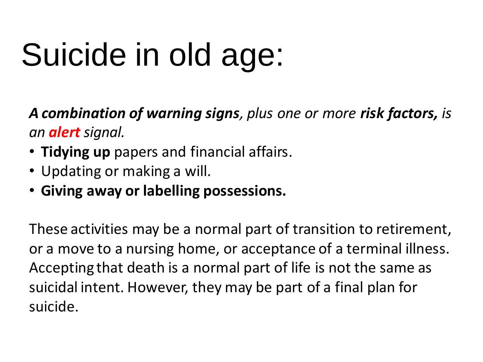*A combination of warning signs, plus one or more risk factors, is an alert signal.*

- • **Tidying up** papers and financial affairs.
- Updating or making a will.
- • **Giving away or labelling possessions.**

These activities may be a normal part of transition to retirement, or a move to a nursing home, or acceptance of a terminal illness. Accepting that death is a normal part of life is not the same as suicidal intent. However, they may be part of a final plan for suicide.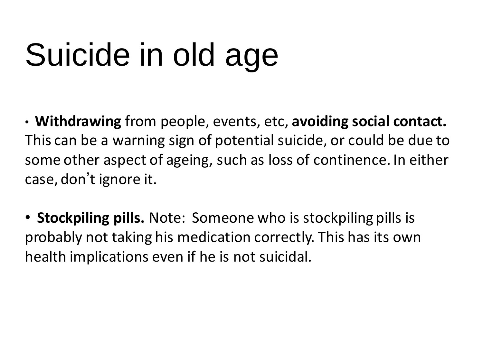• **Withdrawing** from people, events, etc, **avoiding social contact.**  This can be a warning sign of potential suicide, or could be due to some other aspect of ageing, such as loss of continence. In either case, don't ignore it.

• **Stockpiling pills.** Note: Someone who is stockpiling pills is probably not taking his medication correctly. This has its own health implications even if he is not suicidal.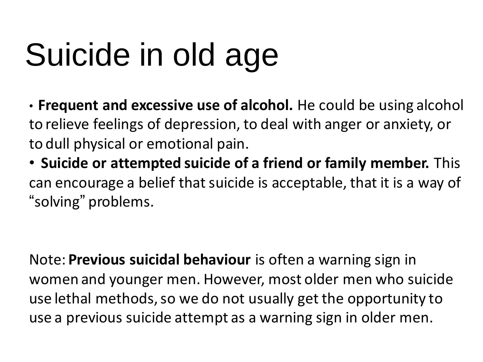• **Frequent and excessive use of alcohol.** He could be using alcohol to relieve feelings of depression, to deal with anger or anxiety, or to dull physical or emotional pain.

• **Suicide or attempted suicide of a friend or family member.** This can encourage a belief that suicide is acceptable, that it is a way of "solving" problems.

Note: **Previous suicidal behaviour** is often a warning sign in women and younger men. However, most older men who suicide use lethal methods, so we do not usually get the opportunity to use a previous suicide attempt as a warning sign in older men.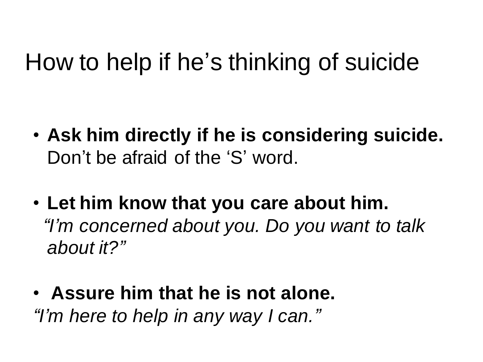- **Ask him directly if he is considering suicide.** Don't be afraid of the 'S' word.
- **Let him know that you care about him.**  *"I'm concerned about you. Do you want to talk about it?"*
- **Assure him that he is not alone.** *"I'm here to help in any way I can."*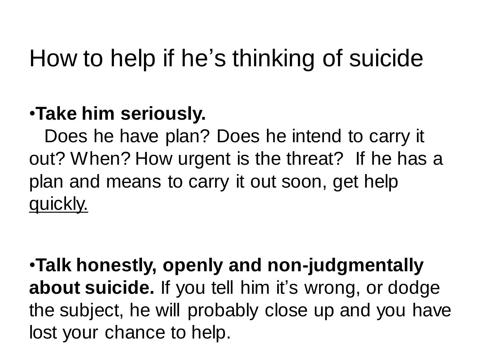#### •**Take him seriously.**

 Does he have plan? Does he intend to carry it out? When? How urgent is the threat? If he has a plan and means to carry it out soon, get help quickly.

•**Talk honestly, openly and non-judgmentally about suicide.** If you tell him it's wrong, or dodge the subject, he will probably close up and you have lost your chance to help.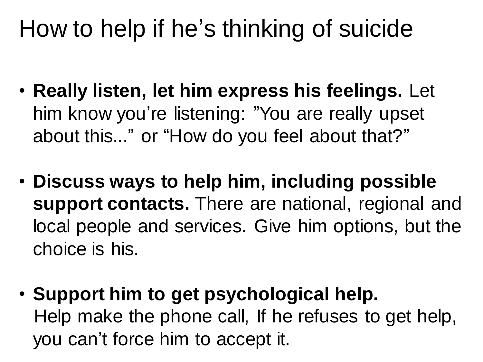- **Really listen, let him express his feelings.** Let him know you're listening: "You are really upset about this..." or "How do you feel about that?"
- **Discuss ways to help him, including possible support contacts.** There are national, regional and local people and services. Give him options, but the choice is his.
- **Support him to get psychological help.** Help make the phone call, If he refuses to get help, you can't force him to accept it.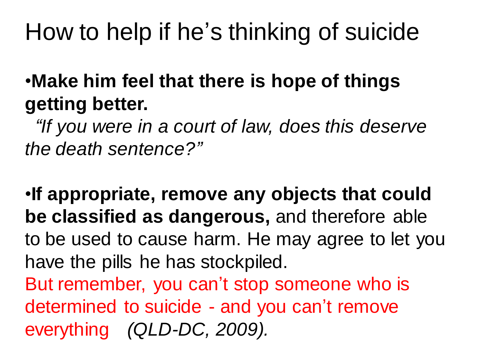#### •**Make him feel that there is hope of things getting better.**

 *"If you were in a court of law, does this deserve the death sentence?"*

•**If appropriate, remove any objects that could be classified as dangerous,** and therefore able to be used to cause harm. He may agree to let you have the pills he has stockpiled. But remember, you can't stop someone who is determined to suicide - and you can't remove everything *(QLD-DC, 2009).*